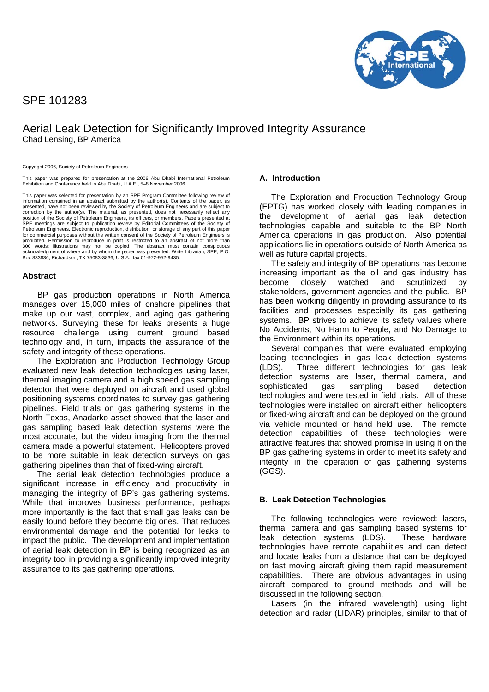# SPE 101283



## Aerial Leak Detection for Significantly Improved Integrity Assurance Chad Lensing, BP America

Copyright 2006, Society of Petroleum Engineers

This paper was prepared for presentation at the 2006 Abu Dhabi International Petroleum Exhibition and Conference held in Abu Dhabi, U.A.E., 5–8 November 2006.

This paper was selected for presentation by an SPE Program Committee following review of information contained in an abstract submitted by the author(s). Contents of the paper, as presented, have not been reviewed by the S position of the Society of Petroleum Engineers, its officers, or members. Papers presented at SPE meetings are subject to publication review by Editorial Committees of the Society of Petroleum Engineers. Electronic reproduction, distribution, or storage of any part of this paper for commercial purposes without the written consent of the Society of Petroleum Engineers is prohibited. Permission to reproduce in print is restricted to an abstract of not more than 300 words; illustrations may not be copied. The abstract must contain conspicuous<br>acknowledgment of where and by whom the paper was presented. Write Librarian, SPE, P.O.<br>Box 833836, Richardson, TX 75083-3836, U.S.A., fax 0

### **Abstract**

BP gas production operations in North America manages over 15,000 miles of onshore pipelines that make up our vast, complex, and aging gas gathering networks. Surveying these for leaks presents a huge resource challenge using current ground based technology and, in turn, impacts the assurance of the safety and integrity of these operations.

The Exploration and Production Technology Group evaluated new leak detection technologies using laser, thermal imaging camera and a high speed gas sampling detector that were deployed on aircraft and used global positioning systems coordinates to survey gas gathering pipelines. Field trials on gas gathering systems in the North Texas, Anadarko asset showed that the laser and gas sampling based leak detection systems were the most accurate, but the video imaging from the thermal camera made a powerful statement. Helicopters proved to be more suitable in leak detection surveys on gas gathering pipelines than that of fixed-wing aircraft.

The aerial leak detection technologies produce a significant increase in efficiency and productivity in managing the integrity of BP's gas gathering systems. While that improves business performance, perhaps more importantly is the fact that small gas leaks can be easily found before they become big ones. That reduces environmental damage and the potential for leaks to impact the public. The development and implementation of aerial leak detection in BP is being recognized as an integrity tool in providing a significantly improved integrity assurance to its gas gathering operations.

## **A. Introduction**

The Exploration and Production Technology Group (EPTG) has worked closely with leading companies in the development of aerial gas leak detection technologies capable and suitable to the BP North America operations in gas production. Also potential applications lie in operations outside of North America as well as future capital projects.

The safety and integrity of BP operations has become increasing important as the oil and gas industry has become closely watched and scrutinized by stakeholders, government agencies and the public. BP has been working diligently in providing assurance to its facilities and processes especially its gas gathering systems. BP strives to achieve its safety values where No Accidents, No Harm to People, and No Damage to the Environment within its operations.

Several companies that were evaluated employing leading technologies in gas leak detection systems (LDS). Three different technologies for gas leak detection systems are laser, thermal camera, and sophisticated gas sampling based detection technologies and were tested in field trials. All of these technologies were installed on aircraft either helicopters or fixed-wing aircraft and can be deployed on the ground via vehicle mounted or hand held use. The remote detection capabilities of these technologies were attractive features that showed promise in using it on the BP gas gathering systems in order to meet its safety and integrity in the operation of gas gathering systems (GGS).

## **B. Leak Detection Technologies**

The following technologies were reviewed: lasers, thermal camera and gas sampling based systems for leak detection systems (LDS). These hardware technologies have remote capabilities and can detect and locate leaks from a distance that can be deployed on fast moving aircraft giving them rapid measurement capabilities. There are obvious advantages in using aircraft compared to ground methods and will be discussed in the following section.

Lasers (in the infrared wavelength) using light detection and radar (LIDAR) principles, similar to that of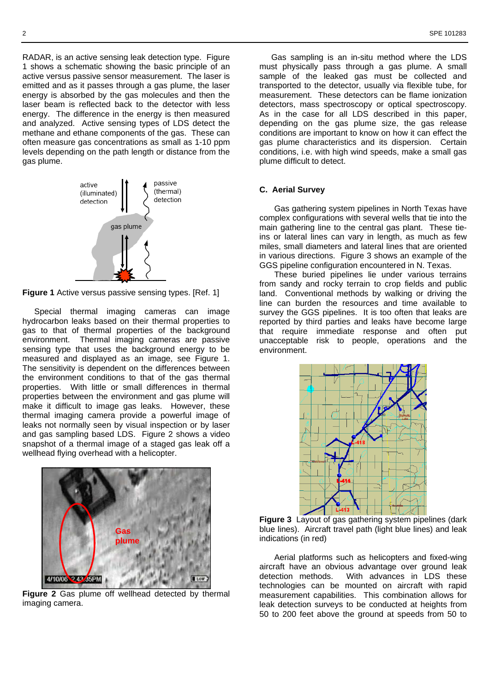RADAR, is an active sensing leak detection type. Figure 1 shows a schematic showing the basic principle of an active versus passive sensor measurement. The laser is emitted and as it passes through a gas plume, the laser energy is absorbed by the gas molecules and then the laser beam is reflected back to the detector with less energy. The difference in the energy is then measured and analyzed. Active sensing types of LDS detect the methane and ethane components of the gas. These can often measure gas concentrations as small as 1-10 ppm levels depending on the path length or distance from the gas plume.



**Figure 1** Active versus passive sensing types. [Ref. 1]

Special thermal imaging cameras can image hydrocarbon leaks based on their thermal properties to gas to that of thermal properties of the background environment. Thermal imaging cameras are passive sensing type that uses the background energy to be measured and displayed as an image, see Figure 1. The sensitivity is dependent on the differences between the environment conditions to that of the gas thermal properties. With little or small differences in thermal properties between the environment and gas plume will make it difficult to image gas leaks. However, these thermal imaging camera provide a powerful image of leaks not normally seen by visual inspection or by laser and gas sampling based LDS. Figure 2 shows a video snapshot of a thermal image of a staged gas leak off a wellhead flying overhead with a helicopter.



**Figure 2** Gas plume off wellhead detected by thermal imaging camera.

Gas sampling is an in-situ method where the LDS must physically pass through a gas plume. A small sample of the leaked gas must be collected and transported to the detector, usually via flexible tube, for measurement. These detectors can be flame ionization detectors, mass spectroscopy or optical spectroscopy. As in the case for all LDS described in this paper, depending on the gas plume size, the gas release conditions are important to know on how it can effect the gas plume characteristics and its dispersion. Certain conditions, i.e. with high wind speeds, make a small gas plume difficult to detect.

#### **C. Aerial Survey**

Gas gathering system pipelines in North Texas have complex configurations with several wells that tie into the main gathering line to the central gas plant. These tieins or lateral lines can vary in length, as much as few miles, small diameters and lateral lines that are oriented in various directions. Figure 3 shows an example of the GGS pipeline configuration encountered in N. Texas.

These buried pipelines lie under various terrains from sandy and rocky terrain to crop fields and public land. Conventional methods by walking or driving the line can burden the resources and time available to survey the GGS pipelines. It is too often that leaks are reported by third parties and leaks have become large that require immediate response and often put unacceptable risk to people, operations and the environment.



**Figure 3** Layout of gas gathering system pipelines (dark blue lines). Aircraft travel path (light blue lines) and leak indications (in red)

Aerial platforms such as helicopters and fixed-wing aircraft have an obvious advantage over ground leak detection methods. With advances in LDS these technologies can be mounted on aircraft with rapid measurement capabilities. This combination allows for leak detection surveys to be conducted at heights from 50 to 200 feet above the ground at speeds from 50 to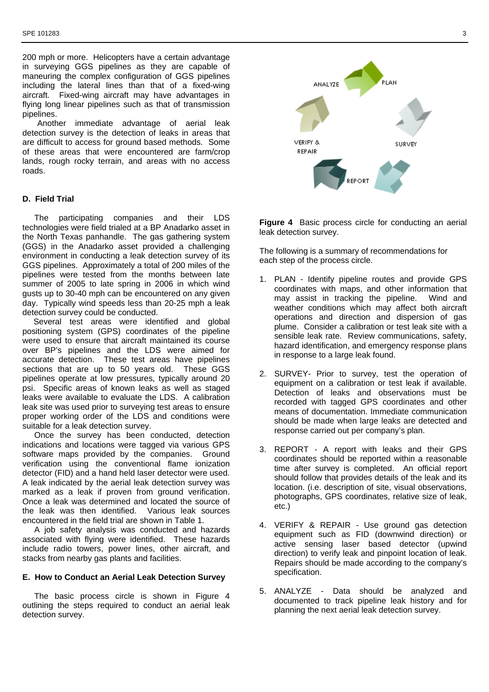200 mph or more. Helicopters have a certain advantage in surveying GGS pipelines as they are capable of maneuring the complex configuration of GGS pipelines including the lateral lines than that of a fixed-wing aircraft. Fixed-wing aircraft may have advantages in flying long linear pipelines such as that of transmission pipelines.

Another immediate advantage of aerial leak detection survey is the detection of leaks in areas that are difficult to access for ground based methods. Some of these areas that were encountered are farm/crop lands, rough rocky terrain, and areas with no access roads.

#### **D. Field Trial**

The participating companies and their LDS technologies were field trialed at a BP Anadarko asset in the North Texas panhandle. The gas gathering system (GGS) in the Anadarko asset provided a challenging environment in conducting a leak detection survey of its GGS pipelines. Approximately a total of 200 miles of the pipelines were tested from the months between late summer of 2005 to late spring in 2006 in which wind gusts up to 30-40 mph can be encountered on any given day. Typically wind speeds less than 20-25 mph a leak detection survey could be conducted.

Several test areas were identified and global positioning system (GPS) coordinates of the pipeline were used to ensure that aircraft maintained its course over BP's pipelines and the LDS were aimed for accurate detection. These test areas have pipelines sections that are up to 50 years old. These GGS pipelines operate at low pressures, typically around 20 psi. Specific areas of known leaks as well as staged leaks were available to evaluate the LDS. A calibration leak site was used prior to surveying test areas to ensure proper working order of the LDS and conditions were suitable for a leak detection survey.

Once the survey has been conducted, detection indications and locations were tagged via various GPS software maps provided by the companies. Ground verification using the conventional flame ionization detector (FID) and a hand held laser detector were used. A leak indicated by the aerial leak detection survey was marked as a leak if proven from ground verification. Once a leak was determined and located the source of the leak was then identified. Various leak sources encountered in the field trial are shown in Table 1.

A job safety analysis was conducted and hazards associated with flying were identified. These hazards include radio towers, power lines, other aircraft, and stacks from nearby gas plants and facilities.

#### **E. How to Conduct an Aerial Leak Detection Survey**

The basic process circle is shown in Figure 4 outlining the steps required to conduct an aerial leak detection survey.



**Figure 4** Basic process circle for conducting an aerial leak detection survey.

The following is a summary of recommendations for each step of the process circle.

- 1. PLAN Identify pipeline routes and provide GPS coordinates with maps, and other information that may assist in tracking the pipeline. Wind and weather conditions which may affect both aircraft operations and direction and dispersion of gas plume. Consider a calibration or test leak site with a sensible leak rate. Review communications, safety, hazard identification, and emergency response plans in response to a large leak found.
- 2. SURVEY- Prior to survey, test the operation of equipment on a calibration or test leak if available. Detection of leaks and observations must be recorded with tagged GPS coordinates and other means of documentation. Immediate communication should be made when large leaks are detected and response carried out per company's plan.
- 3. REPORT A report with leaks and their GPS coordinates should be reported within a reasonable time after survey is completed. An official report should follow that provides details of the leak and its location. (i.e. description of site, visual observations, photographs, GPS coordinates, relative size of leak, etc.)
- 4. VERIFY & REPAIR Use ground gas detection equipment such as FID (downwind direction) or active sensing laser based detector (upwind direction) to verify leak and pinpoint location of leak. Repairs should be made according to the company's specification.
- 5. ANALYZE Data should be analyzed and documented to track pipeline leak history and for planning the next aerial leak detection survey.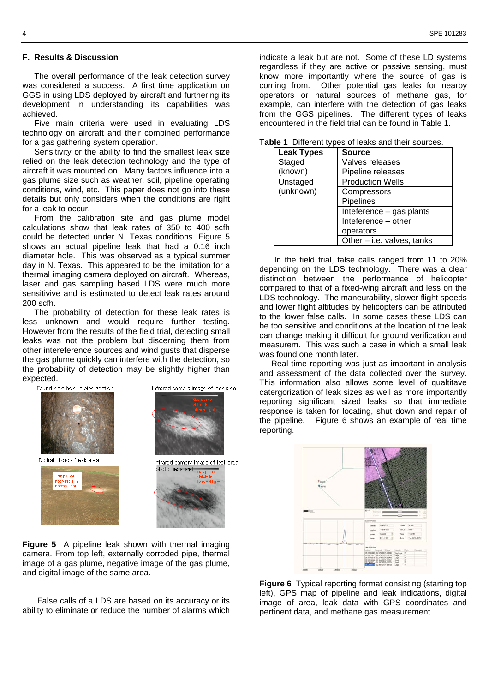#### **F. Results & Discussion**

The overall performance of the leak detection survey was considered a success. A first time application on GGS in using LDS deployed by aircraft and furthering its development in understanding its capabilities was achieved.

Five main criteria were used in evaluating LDS technology on aircraft and their combined performance for a gas gathering system operation.

Sensitivity or the ability to find the smallest leak size relied on the leak detection technology and the type of aircraft it was mounted on. Many factors influence into a gas plume size such as weather, soil, pipeline operating conditions, wind, etc. This paper does not go into these details but only considers when the conditions are right for a leak to occur.

From the calibration site and gas plume model calculations show that leak rates of 350 to 400 scfh could be detected under N. Texas conditions. Figure 5 shows an actual pipeline leak that had a 0.16 inch diameter hole. This was observed as a typical summer day in N. Texas. This appeared to be the limitation for a thermal imaging camera deployed on aircraft. Whereas, laser and gas sampling based LDS were much more sensitivive and is estimated to detect leak rates around 200 scfh.

The probability of detection for these leak rates is less unknown and would require further testing. However from the results of the field trial, detecting small leaks was not the problem but discerning them from other intereference sources and wind gusts that disperse the gas plume quickly can interfere with the detection, so the probability of detection may be slightly higher than expected.



**Figure 5** A pipeline leak shown with thermal imaging camera. From top left, externally corroded pipe, thermal image of a gas plume, negative image of the gas plume, and digital image of the same area.

False calls of a LDS are based on its accuracy or its ability to eliminate or reduce the number of alarms which indicate a leak but are not. Some of these LD systems regardless if they are active or passive sensing, must know more importantly where the source of gas is coming from. Other potential gas leaks for nearby operators or natural sources of methane gas, for example, can interfere with the detection of gas leaks from the GGS pipelines. The different types of leaks encountered in the field trial can be found in Table 1.

| <b>Leak Types</b> | <b>Source</b>                |
|-------------------|------------------------------|
| Staged            | Valves releases              |
| (known)           | Pipeline releases            |
| Unstaged          | <b>Production Wells</b>      |
| (unknown)         | Compressors                  |
|                   | Pipelines                    |
|                   | Inteference - gas plants     |
|                   | Inteference - other          |
|                   | operators                    |
|                   | Other $-$ i.e. valves, tanks |

**Table 1** Different types of leaks and their sources.

In the field trial, false calls ranged from 11 to 20% depending on the LDS technology. There was a clear distinction between the performance of helicopter compared to that of a fixed-wing aircraft and less on the LDS technology. The maneurability, slower flight speeds and lower flight altitudes by helicopters can be attributed to the lower false calls. In some cases these LDS can be too sensitive and conditions at the location of the leak can change making it difficult for ground verification and measurem. This was such a case in which a small leak was found one month later.

Real time reporting was just as important in analysis and assessment of the data collected over the survey. This information also allows some level of qualtitave catergorization of leak sizes as well as more importantly reporting significant sized leaks so that immediate response is taken for locating, shut down and repair of the pipeline. Figure 6 shows an example of real time reporting.



**Figure 6** Typical reporting format consisting (starting top left), GPS map of pipeline and leak indications, digital image of area, leak data with GPS coordinates and pertinent data, and methane gas measurement.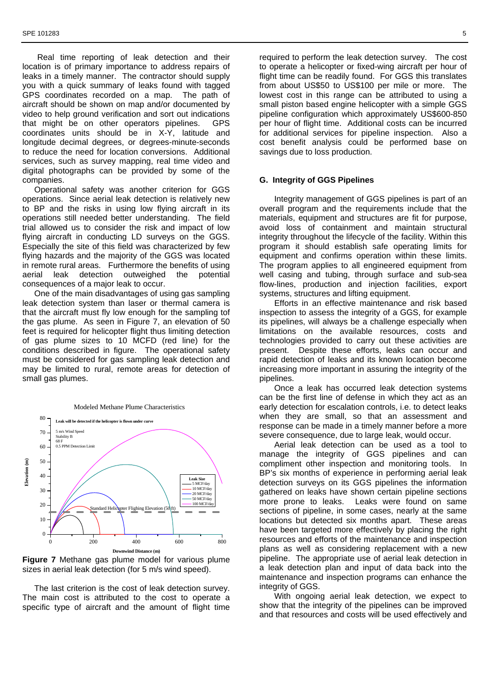Real time reporting of leak detection and their location is of primary importance to address repairs of leaks in a timely manner. The contractor should supply you with a quick summary of leaks found with tagged GPS coordinates recorded on a map. The path of aircraft should be shown on map and/or documented by video to help ground verification and sort out indications that might be on other operators pipelines. GPS coordinates units should be in X-Y, latitude and longitude decimal degrees, or degrees-minute-seconds to reduce the need for location conversions. Additional services, such as survey mapping, real time video and digital photographs can be provided by some of the companies.

Operational safety was another criterion for GGS operations. Since aerial leak detection is relatively new to BP and the risks in using low flying aircraft in its operations still needed better understanding. The field trial allowed us to consider the risk and impact of low flying aircraft in conducting LD surveys on the GGS. Especially the site of this field was characterized by few flying hazards and the majority of the GGS was located in remote rural areas. Furthermore the benefits of using aerial leak detection outweighed the potential consequences of a major leak to occur.

One of the main disadvantages of using gas sampling leak detection system than laser or thermal camera is that the aircraft must fly low enough for the sampling tof the gas plume. As seen in Figure 7, an elevation of 50 feet is required for helicopter flight thus limiting detection of gas plume sizes to 10 MCFD (red line) for the conditions described in figure. The operational safety must be considered for gas sampling leak detection and may be limited to rural, remote areas for detection of small gas plumes.



**Figure 7** Methane gas plume model for various plume sizes in aerial leak detection (for 5 m/s wind speed).

The last criterion is the cost of leak detection survey. The main cost is attributed to the cost to operate a specific type of aircraft and the amount of flight time required to perform the leak detection survey. The cost to operate a helicopter or fixed-wing aircraft per hour of flight time can be readily found. For GGS this translates from about US\$50 to US\$100 per mile or more. The lowest cost in this range can be attributed to using a small piston based engine helicopter with a simple GGS pipeline configuration which approximately US\$600-850 per hour of flight time. Additional costs can be incurred for additional services for pipeline inspection. Also a cost benefit analysis could be performed base on savings due to loss production.

#### **G. Integrity of GGS Pipelines**

Integrity management of GGS pipelines is part of an overall program and the requirements include that the materials, equipment and structures are fit for purpose, avoid loss of containment and maintain structural integrity throughout the lifecycle of the facility. Within this program it should establish safe operating limits for equipment and confirms operation within these limits. The program applies to all engineered equipment from well casing and tubing, through surface and sub-sea flow-lines, production and injection facilities, export systems, structures and lifting equipment.

Efforts in an effective maintenance and risk based inspection to assess the integrity of a GGS, for example its pipelines, will always be a challenge especially when limitations on the available resources, costs and technologies provided to carry out these activities are present. Despite these efforts, leaks can occur and rapid detection of leaks and its known location become increasing more important in assuring the integrity of the pipelines.

Once a leak has occurred leak detection systems can be the first line of defense in which they act as an early detection for escalation controls, i.e. to detect leaks when they are small, so that an assessment and response can be made in a timely manner before a more severe consequence, due to large leak, would occur.

Aerial leak detection can be used as a tool to manage the integrity of GGS pipelines and can compliment other inspection and monitoring tools. In BP's six months of experience in performing aerial leak detection surveys on its GGS pipelines the information gathered on leaks have shown certain pipeline sections more prone to leaks. Leaks were found on same sections of pipeline, in some cases, nearly at the same locations but detected six months apart. These areas have been targeted more effectively by placing the right resources and efforts of the maintenance and inspection plans as well as considering replacement with a new pipeline. The appropriate use of aerial leak detection in a leak detection plan and input of data back into the maintenance and inspection programs can enhance the integrity of GGS.

With ongoing aerial leak detection, we expect to show that the integrity of the pipelines can be improved and that resources and costs will be used effectively and